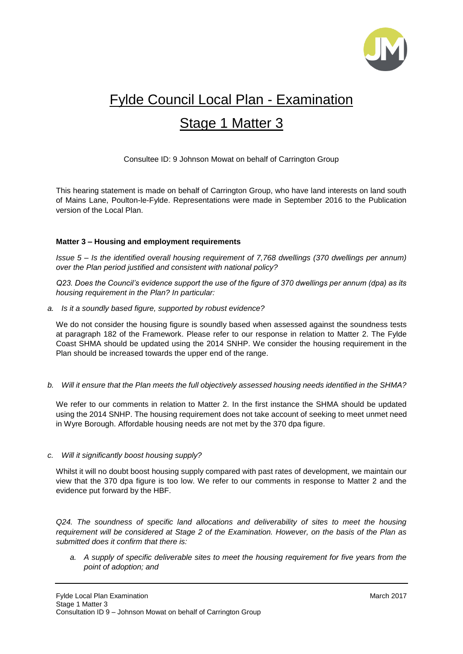

# Fylde Council Local Plan - Examination

## Stage 1 Matter 3

Consultee ID: 9 Johnson Mowat on behalf of Carrington Group

This hearing statement is made on behalf of Carrington Group, who have land interests on land south of Mains Lane, Poulton-le-Fylde. Representations were made in September 2016 to the Publication version of the Local Plan.

#### **Matter 3 – Housing and employment requirements**

*Issue 5 – Is the identified overall housing requirement of 7,768 dwellings (370 dwellings per annum) over the Plan period justified and consistent with national policy?*

*Q23. Does the Council's evidence support the use of the figure of 370 dwellings per annum (dpa) as its housing requirement in the Plan? In particular:*

*a. Is it a soundly based figure, supported by robust evidence?*

We do not consider the housing figure is soundly based when assessed against the soundness tests at paragraph 182 of the Framework. Please refer to our response in relation to Matter 2. The Fylde Coast SHMA should be updated using the 2014 SNHP. We consider the housing requirement in the Plan should be increased towards the upper end of the range.

*b. Will it ensure that the Plan meets the full objectively assessed housing needs identified in the SHMA?*

We refer to our comments in relation to Matter 2. In the first instance the SHMA should be updated using the 2014 SNHP. The housing requirement does not take account of seeking to meet unmet need in Wyre Borough. Affordable housing needs are not met by the 370 dpa figure.

#### *c. Will it significantly boost housing supply?*

Whilst it will no doubt boost housing supply compared with past rates of development, we maintain our view that the 370 dpa figure is too low. We refer to our comments in response to Matter 2 and the evidence put forward by the HBF.

*Q24. The soundness of specific land allocations and deliverability of sites to meet the housing requirement will be considered at Stage 2 of the Examination. However, on the basis of the Plan as submitted does it confirm that there is:*

*a. A supply of specific deliverable sites to meet the housing requirement for five years from the point of adoption; and*